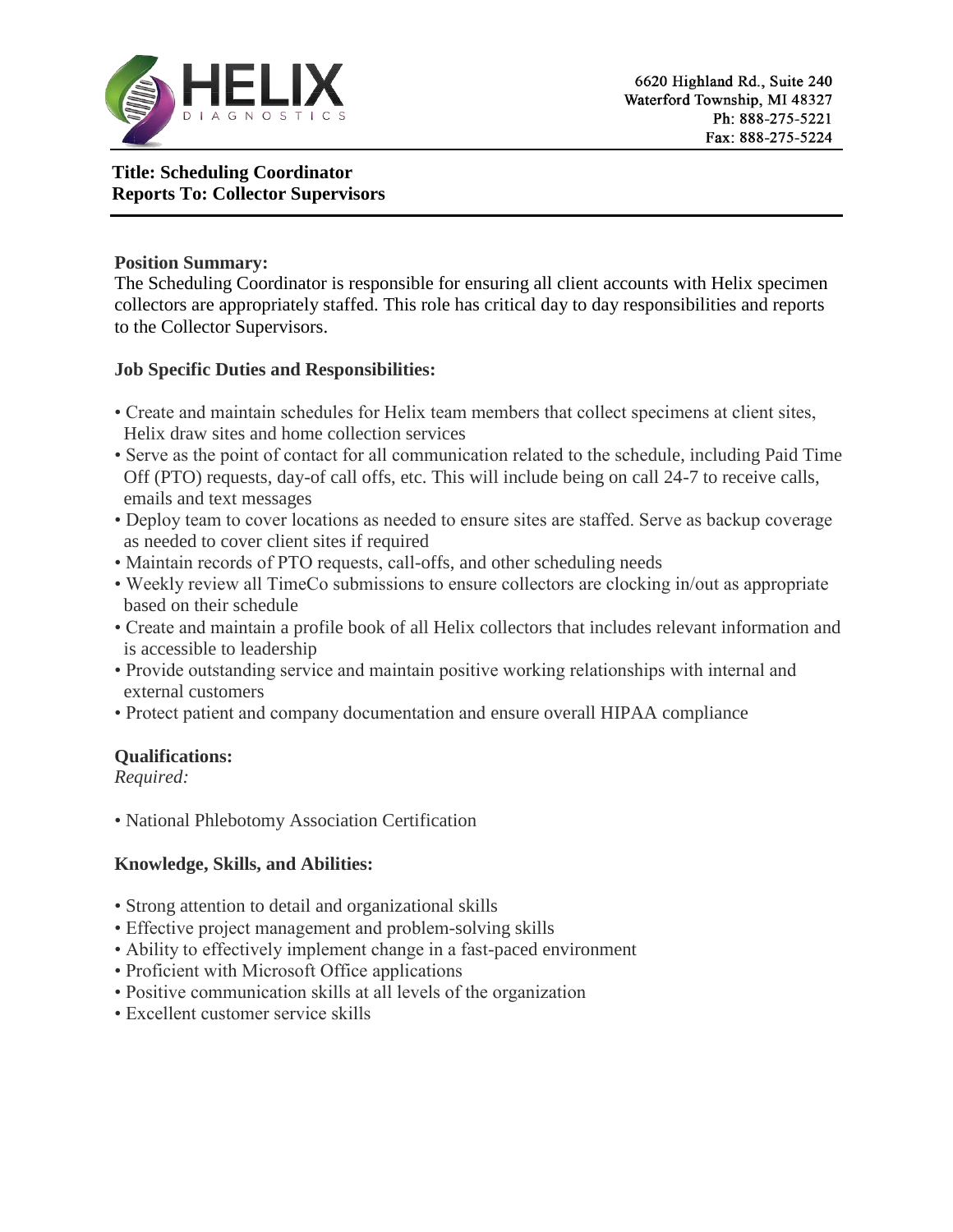

# **Title: Scheduling Coordinator Reports To: Collector Supervisors**

#### **Position Summary:**

The Scheduling Coordinator is responsible for ensuring all client accounts with Helix specimen collectors are appropriately staffed. This role has critical day to day responsibilities and reports to the Collector Supervisors.

### **Job Specific Duties and Responsibilities:**

- Create and maintain schedules for Helix team members that collect specimens at client sites, Helix draw sites and home collection services
- Serve as the point of contact for all communication related to the schedule, including Paid Time Off (PTO) requests, day-of call offs, etc. This will include being on call 24-7 to receive calls, emails and text messages
- Deploy team to cover locations as needed to ensure sites are staffed. Serve as backup coverage as needed to cover client sites if required
- Maintain records of PTO requests, call-offs, and other scheduling needs
- Weekly review all TimeCo submissions to ensure collectors are clocking in/out as appropriate based on their schedule
- Create and maintain a profile book of all Helix collectors that includes relevant information and is accessible to leadership
- Provide outstanding service and maintain positive working relationships with internal and external customers
- Protect patient and company documentation and ensure overall HIPAA compliance

# **Qualifications:**

*Required:* 

• National Phlebotomy Association Certification

# **Knowledge, Skills, and Abilities:**

- Strong attention to detail and organizational skills
- Effective project management and problem-solving skills
- Ability to effectively implement change in a fast-paced environment
- Proficient with Microsoft Office applications
- Positive communication skills at all levels of the organization
- Excellent customer service skills